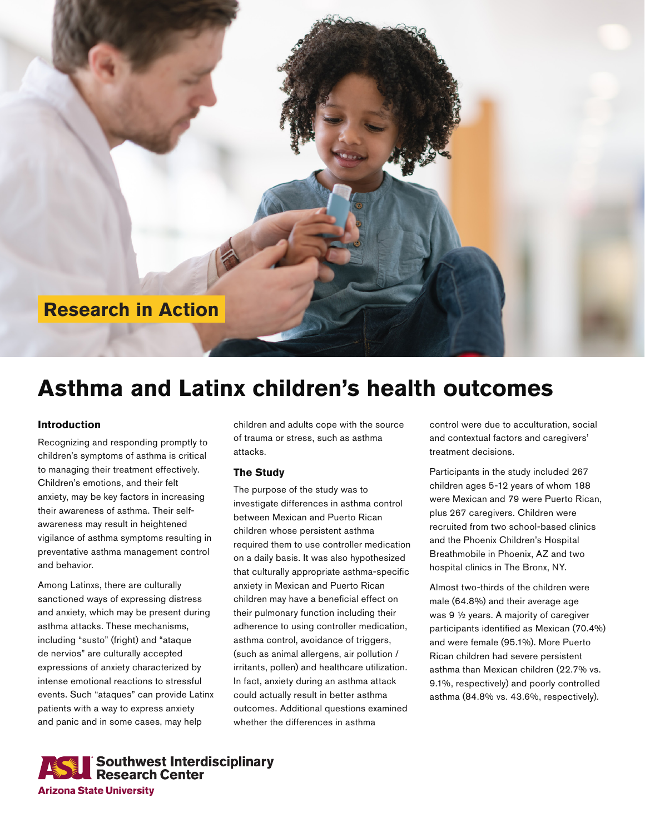

# **Asthma and Latinx children's health outcomes**

## **Introduction**

Recognizing and responding promptly to children's symptoms of asthma is critical to managing their treatment effectively. Children's emotions, and their felt anxiety, may be key factors in increasing their awareness of asthma. Their selfawareness may result in heightened vigilance of asthma symptoms resulting in preventative asthma management control and behavior.

Among Latinxs, there are culturally sanctioned ways of expressing distress and anxiety, which may be present during asthma attacks. These mechanisms, including "susto" (fright) and "ataque de nervios" are culturally accepted expressions of anxiety characterized by intense emotional reactions to stressful events. Such "ataques" can provide Latinx patients with a way to express anxiety and panic and in some cases, may help

children and adults cope with the source of trauma or stress, such as asthma attacks.

## **The Study**

The purpose of the study was to investigate differences in asthma control between Mexican and Puerto Rican children whose persistent asthma required them to use controller medication on a daily basis. It was also hypothesized that culturally appropriate asthma-specific anxiety in Mexican and Puerto Rican children may have a beneficial effect on their pulmonary function including their adherence to using controller medication, asthma control, avoidance of triggers, (such as animal allergens, air pollution / irritants, pollen) and healthcare utilization. In fact, anxiety during an asthma attack could actually result in better asthma outcomes. Additional questions examined whether the differences in asthma

control were due to acculturation, social and contextual factors and caregivers' treatment decisions.

Participants in the study included 267 children ages 5-12 years of whom 188 were Mexican and 79 were Puerto Rican, plus 267 caregivers. Children were recruited from two school-based clinics and the Phoenix Children's Hospital Breathmobile in Phoenix, AZ and two hospital clinics in The Bronx, NY.

Almost two-thirds of the children were male (64.8%) and their average age was 9 ½ years. A majority of caregiver participants identified as Mexican (70.4%) and were female (95.1%). More Puerto Rican children had severe persistent asthma than Mexican children (22.7% vs. 9.1%, respectively) and poorly controlled asthma (84.8% vs. 43.6%, respectively).